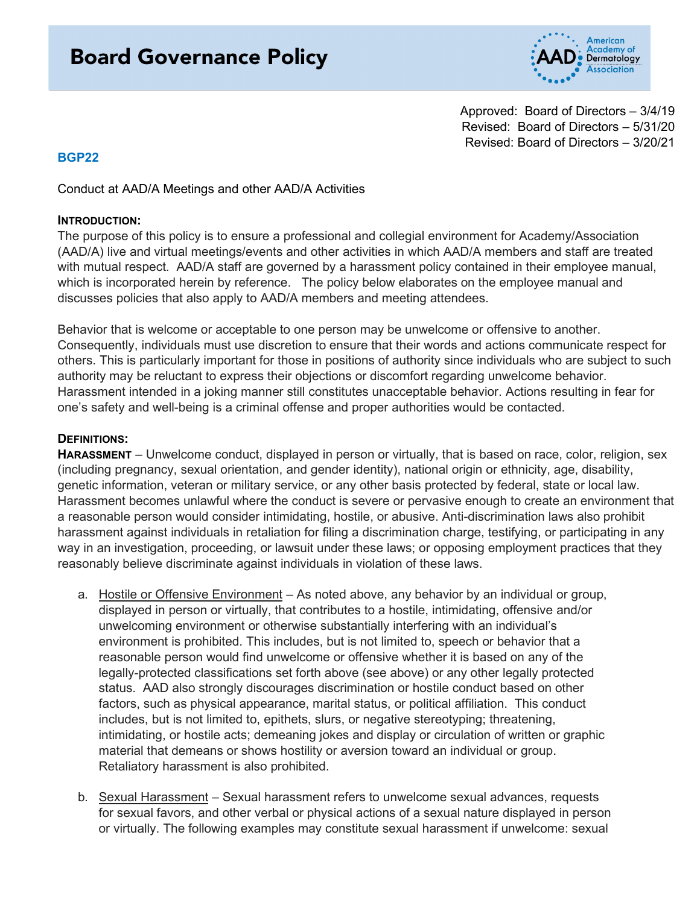# **Board Governance Policy**



Approved: Board of Directors – 3/4/19 Revised: Board of Directors – 5/31/20 Revised: Board of Directors – 3/20/21

# **BGP22**

Conduct at AAD/A Meetings and other AAD/A Activities

#### **INTRODUCTION:**

The purpose of this policy is to ensure a professional and collegial environment for Academy/Association (AAD/A) live and virtual meetings/events and other activities in which AAD/A members and staff are treated with mutual respect. AAD/A staff are governed by a harassment policy contained in their employee manual, which is incorporated herein by reference. The policy below elaborates on the employee manual and discusses policies that also apply to AAD/A members and meeting attendees.

Behavior that is welcome or acceptable to one person may be unwelcome or offensive to another. Consequently, individuals must use discretion to ensure that their words and actions communicate respect for others. This is particularly important for those in positions of authority since individuals who are subject to such authority may be reluctant to express their objections or discomfort regarding unwelcome behavior. Harassment intended in a joking manner still constitutes unacceptable behavior. Actions resulting in fear for one's safety and well-being is a criminal offense and proper authorities would be contacted.

#### **DEFINITIONS:**

**HARASSMENT** – Unwelcome conduct, displayed in person or virtually, that is based on race, color, religion, sex (including pregnancy, sexual orientation, and gender identity), national origin or ethnicity, age, disability, genetic information, veteran or military service, or any other basis protected by federal, state or local law. Harassment becomes unlawful where the conduct is severe or pervasive enough to create an environment that a reasonable person would consider intimidating, hostile, or abusive. Anti-discrimination laws also prohibit harassment against individuals in retaliation for filing a discrimination charge, testifying, or participating in any way in an investigation, proceeding, or lawsuit under these laws; or opposing employment practices that they reasonably believe discriminate against individuals in violation of these laws.

- a. Hostile or Offensive Environment As noted above, any behavior by an individual or group, displayed in person or virtually, that contributes to a hostile, intimidating, offensive and/or unwelcoming environment or otherwise substantially interfering with an individual's environment is prohibited. This includes, but is not limited to, speech or behavior that a reasonable person would find unwelcome or offensive whether it is based on any of the legally-protected classifications set forth above (see above) or any other legally protected status. AAD also strongly discourages discrimination or hostile conduct based on other factors, such as physical appearance, marital status, or political affiliation. This conduct includes, but is not limited to, epithets, slurs, or negative stereotyping; threatening, intimidating, or hostile acts; demeaning jokes and display or circulation of written or graphic material that demeans or shows hostility or aversion toward an individual or group. Retaliatory harassment is also prohibited.
- b. Sexual Harassment Sexual harassment refers to unwelcome sexual advances, requests for sexual favors, and other verbal or physical actions of a sexual nature displayed in person or virtually. The following examples may constitute sexual harassment if unwelcome: sexual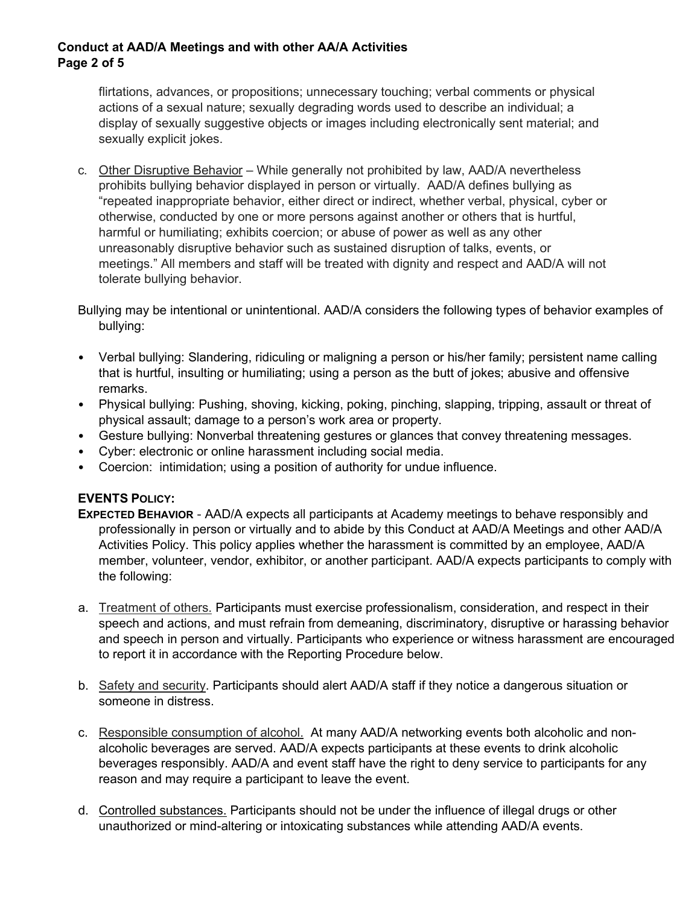## **Conduct at AAD/A Meetings and with other AA/A Activities Page 2 of 5**

flirtations, advances, or propositions; unnecessary touching; verbal comments or physical actions of a sexual nature; sexually degrading words used to describe an individual; a display of sexually suggestive objects or images including electronically sent material; and sexually explicit jokes.

c. Other Disruptive Behavior – While generally not prohibited by law, AAD/A nevertheless prohibits bullying behavior displayed in person or virtually. AAD/A defines bullying as "repeated inappropriate behavior, either direct or indirect, whether verbal, physical, cyber or otherwise, conducted by one or more persons against another or others that is hurtful, harmful or humiliating; exhibits coercion; or abuse of power as well as any other unreasonably disruptive behavior such as sustained disruption of talks, events, or meetings." All members and staff will be treated with dignity and respect and AAD/A will not tolerate bullying behavior.

Bullying may be intentional or unintentional. AAD/A considers the following types of behavior examples of bullying:

- Verbal bullying: Slandering, ridiculing or maligning a person or his/her family; persistent name calling that is hurtful, insulting or humiliating; using a person as the butt of jokes; abusive and offensive remarks.
- Physical bullying: Pushing, shoving, kicking, poking, pinching, slapping, tripping, assault or threat of physical assault; damage to a person's work area or property.
- Gesture bullying: Nonverbal threatening gestures or glances that convey threatening messages.
- Cyber: electronic or online harassment including social media.
- Coercion: intimidation; using a position of authority for undue influence.

# **EVENTS POLICY:**

- **EXPECTED BEHAVIOR** AAD/A expects all participants at Academy meetings to behave responsibly and professionally in person or virtually and to abide by this Conduct at AAD/A Meetings and other AAD/A Activities Policy. This policy applies whether the harassment is committed by an employee, AAD/A member, volunteer, vendor, exhibitor, or another participant. AAD/A expects participants to comply with the following:
- a. Treatment of others. Participants must exercise professionalism, consideration, and respect in their speech and actions, and must refrain from demeaning, discriminatory, disruptive or harassing behavior and speech in person and virtually. Participants who experience or witness harassment are encouraged to report it in accordance with the Reporting Procedure below.
- b. Safety and security. Participants should alert AAD/A staff if they notice a dangerous situation or someone in distress.
- c. Responsible consumption of alcohol. At many AAD/A networking events both alcoholic and nonalcoholic beverages are served. AAD/A expects participants at these events to drink alcoholic beverages responsibly. AAD/A and event staff have the right to deny service to participants for any reason and may require a participant to leave the event.
- d. Controlled substances. Participants should not be under the influence of illegal drugs or other unauthorized or mind-altering or intoxicating substances while attending AAD/A events.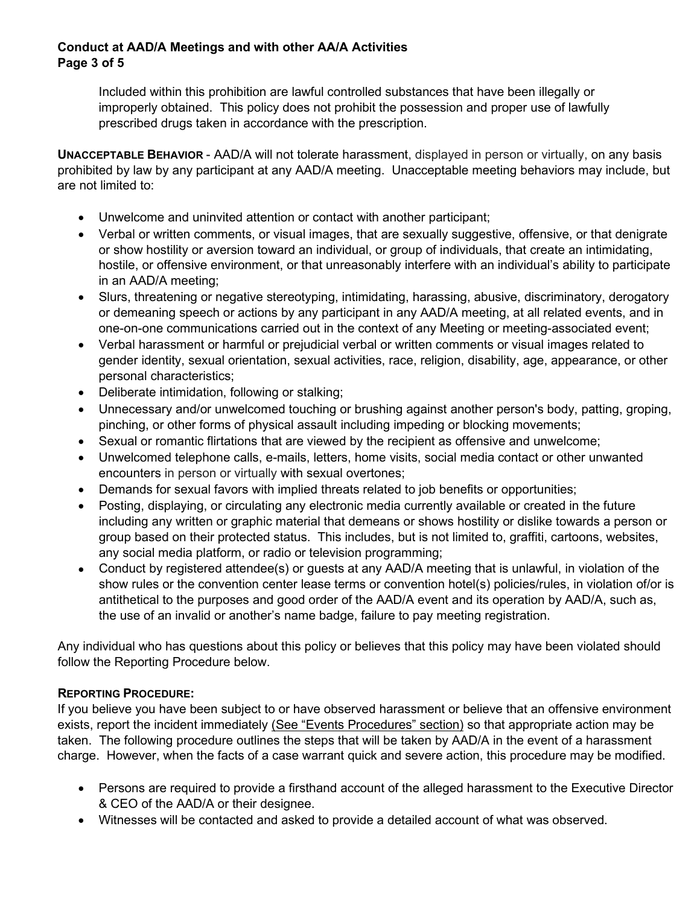# **Conduct at AAD/A Meetings and with other AA/A Activities Page 3 of 5**

Included within this prohibition are lawful controlled substances that have been illegally or improperly obtained. This policy does not prohibit the possession and proper use of lawfully prescribed drugs taken in accordance with the prescription.

**UNACCEPTABLE BEHAVIOR** - AAD/A will not tolerate harassment, displayed in person or virtually, on any basis prohibited by law by any participant at any AAD/A meeting. Unacceptable meeting behaviors may include, but are not limited to:

- Unwelcome and uninvited attention or contact with another participant;
- Verbal or written comments, or visual images, that are sexually suggestive, offensive, or that denigrate or show hostility or aversion toward an individual, or group of individuals, that create an intimidating, hostile, or offensive environment, or that unreasonably interfere with an individual's ability to participate in an AAD/A meeting;
- Slurs, threatening or negative stereotyping, intimidating, harassing, abusive, discriminatory, derogatory or demeaning speech or actions by any participant in any AAD/A meeting, at all related events, and in one-on-one communications carried out in the context of any Meeting or meeting-associated event;
- Verbal harassment or harmful or prejudicial verbal or written comments or visual images related to gender identity, sexual orientation, sexual activities, race, religion, disability, age, appearance, or other personal characteristics;
- Deliberate intimidation, following or stalking;
- Unnecessary and/or unwelcomed touching or brushing against another person's body, patting, groping, pinching, or other forms of physical assault including impeding or blocking movements;
- Sexual or romantic flirtations that are viewed by the recipient as offensive and unwelcome;
- Unwelcomed telephone calls, e-mails, letters, home visits, social media contact or other unwanted encounters in person or virtually with sexual overtones;
- Demands for sexual favors with implied threats related to job benefits or opportunities;
- Posting, displaying, or circulating any electronic media currently available or created in the future including any written or graphic material that demeans or shows hostility or dislike towards a person or group based on their protected status. This includes, but is not limited to, graffiti, cartoons, websites, any social media platform, or radio or television programming;
- Conduct by registered attendee(s) or guests at any AAD/A meeting that is unlawful, in violation of the show rules or the convention center lease terms or convention hotel(s) policies/rules, in violation of/or is antithetical to the purposes and good order of the AAD/A event and its operation by AAD/A, such as, the use of an invalid or another's name badge, failure to pay meeting registration.

Any individual who has questions about this policy or believes that this policy may have been violated should follow the Reporting Procedure below.

# **REPORTING PROCEDURE:**

If you believe you have been subject to or have observed harassment or believe that an offensive environment exists, report the incident immediately (See "Events Procedures" section) so that appropriate action may be taken. The following procedure outlines the steps that will be taken by AAD/A in the event of a harassment charge. However, when the facts of a case warrant quick and severe action, this procedure may be modified.

- Persons are required to provide a firsthand account of the alleged harassment to the Executive Director & CEO of the AAD/A or their designee.
- Witnesses will be contacted and asked to provide a detailed account of what was observed.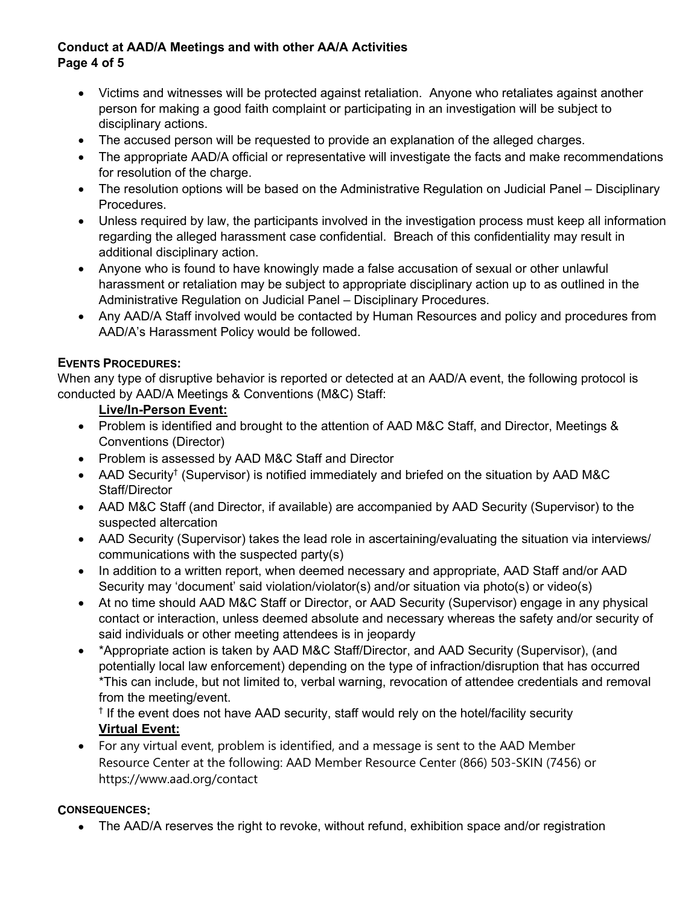# **Conduct at AAD/A Meetings and with other AA/A Activities Page 4 of 5**

- Victims and witnesses will be protected against retaliation. Anyone who retaliates against another person for making a good faith complaint or participating in an investigation will be subject to disciplinary actions.
- The accused person will be requested to provide an explanation of the alleged charges.
- The appropriate AAD/A official or representative will investigate the facts and make recommendations for resolution of the charge.
- The resolution options will be based on the Administrative Regulation on Judicial Panel Disciplinary Procedures.
- Unless required by law, the participants involved in the investigation process must keep all information regarding the alleged harassment case confidential. Breach of this confidentiality may result in additional disciplinary action.
- Anyone who is found to have knowingly made a false accusation of sexual or other unlawful harassment or retaliation may be subject to appropriate disciplinary action up to as outlined in the Administrative Regulation on Judicial Panel – Disciplinary Procedures.
- Any AAD/A Staff involved would be contacted by Human Resources and policy and procedures from AAD/A's Harassment Policy would be followed.

# **EVENTS PROCEDURES:**

When any type of disruptive behavior is reported or detected at an AAD/A event, the following protocol is conducted by AAD/A Meetings & Conventions (M&C) Staff:

# **Live/In-Person Event:**

- Problem is identified and brought to the attention of AAD M&C Staff, and Director, Meetings & Conventions (Director)
- Problem is assessed by AAD M&C Staff and Director
- AAD Security<sup>†</sup> (Supervisor) is notified immediately and briefed on the situation by AAD M&C Staff/Director
- AAD M&C Staff (and Director, if available) are accompanied by AAD Security (Supervisor) to the suspected altercation
- AAD Security (Supervisor) takes the lead role in ascertaining/evaluating the situation via interviews/ communications with the suspected party(s)
- In addition to a written report, when deemed necessary and appropriate, AAD Staff and/or AAD Security may 'document' said violation/violator(s) and/or situation via photo(s) or video(s)
- At no time should AAD M&C Staff or Director, or AAD Security (Supervisor) engage in any physical contact or interaction, unless deemed absolute and necessary whereas the safety and/or security of said individuals or other meeting attendees is in jeopardy
- \*Appropriate action is taken by AAD M&C Staff/Director, and AAD Security (Supervisor), (and potentially local law enforcement) depending on the type of infraction/disruption that has occurred \*This can include, but not limited to, verbal warning, revocation of attendee credentials and removal from the meeting/event.

† If the event does not have AAD security, staff would rely on the hotel/facility security **Virtual Event:**

• For any virtual event, problem is identified, and a message is sent to the AAD Member Resource Center at the following: AAD Member Resource Center (866) 503-SKIN (7456) or https://www.aad.org/contact

#### **CONSEQUENCES:**

• The AAD/A reserves the right to revoke, without refund, exhibition space and/or registration